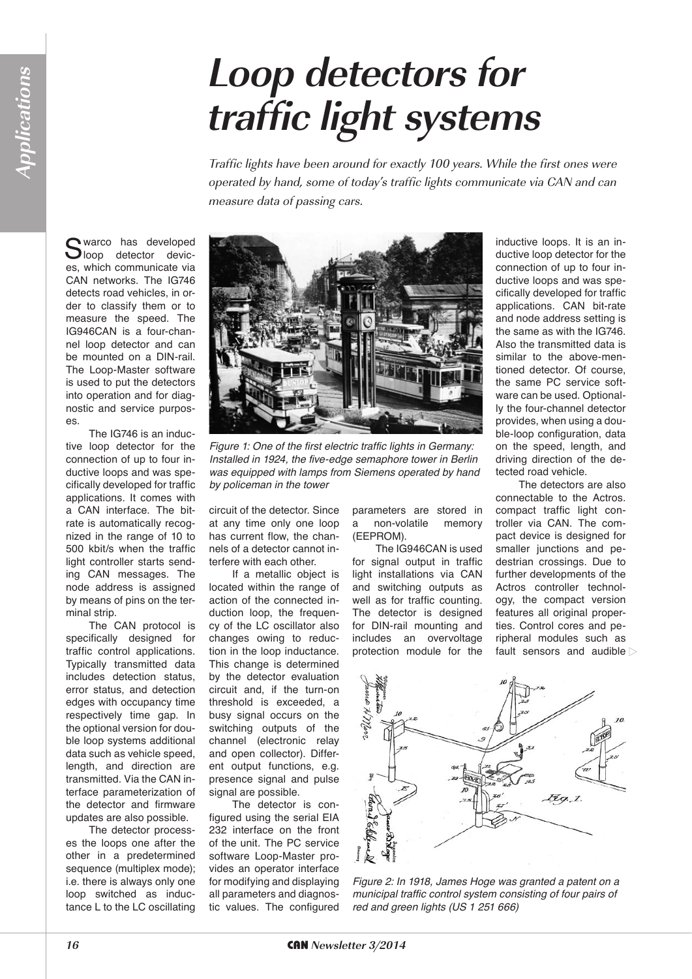## **Loop detectors for traffic light systems**

Traffic lights have been around for exactly 100 years. While the first ones were operated by hand, some of today's traffic lights communicate via CAN and can measure data of passing cars.

Swarco has developed<br>
Sloop detector devices, which communicate via CAN networks. The IG746 detects road vehicles, in order to classify them or to measure the speed. The IG946CAN is a four-channel loop detector and can be mounted on a DIN-rail. The Loop-Master software is used to put the detectors into operation and for diagnostic and service purposes.

The IG746 is an inductive loop detector for the connection of up to four inductive loops and was specifically developed for traffic applications. It comes with a CAN interface. The bitrate is automatically recognized in the range of 10 to 500 kbit/s when the traffic light controller starts sending CAN messages. The node address is assigned by means of pins on the terminal strip.

The CAN protocol is specifically designed for traffic control applications. Typically transmitted data includes detection status, error status, and detection edges with occupancy time respectively time gap. In the optional version for double loop systems additional data such as vehicle speed, length, and direction are transmitted. Via the CAN interface parameterization of the detector and firmware updates are also possible.

The detector processes the loops one after the other in a predetermined sequence (multiplex mode); i.e. there is always only one loop switched as inductance L to the LC oscillating



*Figure 1: One of the first electric traffic lights in Germany: Installed in 1924, the five-edge semaphore tower in Berlin was equipped with lamps from Siemens operated by hand by policeman in the tower*

circuit of the detector. Since at any time only one loop has current flow, the channels of a detector cannot interfere with each other.

If a metallic object is located within the range of action of the connected induction loop, the frequency of the LC oscillator also changes owing to reduction in the loop inductance. This change is determined by the detector evaluation circuit and, if the turn-on threshold is exceeded, a busy signal occurs on the switching outputs of the channel (electronic relay and open collector). Different output functions, e.g. presence signal and pulse signal are possible.

The detector is configured using the serial EIA 232 interface on the front of the unit. The PC service software Loop-Master provides an operator interface for modifying and displaying all parameters and diagnostic values. The configured parameters are stored in a non-volatile memory (EEPROM).

The IG946CAN is used for signal output in traffic light installations via CAN and switching outputs as well as for traffic counting. The detector is designed for DIN-rail mounting and includes an overvoltage protection module for the inductive loops. It is an inductive loop detector for the connection of up to four inductive loops and was specifically developed for traffic applications. CAN bit-rate and node address setting is the same as with the IG746. Also the transmitted data is similar to the above-mentioned detector. Of course, the same PC service software can be used. Optionally the four-channel detector provides, when using a double-loop configuration, data on the speed, length, and driving direction of the detected road vehicle.

The detectors are also connectable to the Actros. compact traffic light controller via CAN. The compact device is designed for smaller junctions and pedestrian crossings. Due to further developments of the Actros controller technology, the compact version features all original properties. Control cores and peripheral modules such as fault sensors and audible



*Figure 2: In 1918, James Hoge was granted a patent on a municipal traffic control system consisting of four pairs of red and green lights (US 1 251 666)*